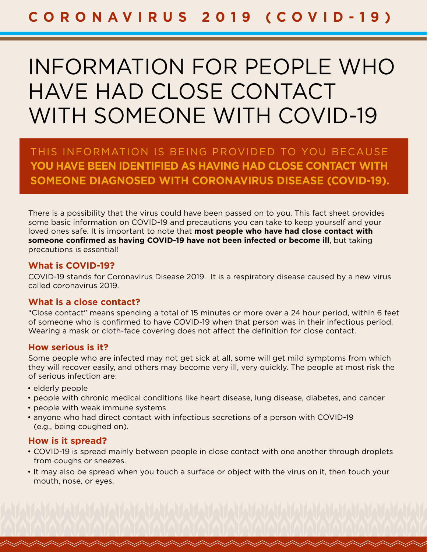# INFORMATION FOR PEOPLE WHO HAVE HAD CLOSE CONTACT WITH SOMEONE WITH COVID-19

THIS INFORMATION IS BEING PROVIDED TO YOU BECAUSE **YOU HAVE BEEN IDENTIFIED AS HAVING HAD CLOSE CONTACT WITH SOMEONE DIAGNOSED WITH CORONAVIRUS DISEASE (COVID-19).** 

There is a possibility that the virus could have been passed on to you. This fact sheet provides some basic information on COVID-19 and precautions you can take to keep yourself and your loved ones safe. It is important to note that **most people who have had close contact with someone confirmed as having COVID-19 have not been infected or become ill**, but taking precautions is essential!

#### **What is COVID-19?**

COVID-19 stands for Coronavirus Disease 2019. It is a respiratory disease caused by a new virus called coronavirus 2019.

#### **What is a close contact?**

"Close contact" means spending a total of 15 minutes or more over a 24 hour period, within 6 feet of someone who is confirmed to have COVID-19 when that person was in their infectious period. Wearing a mask or cloth-face covering does not affect the definition for close contact.

#### **How serious is it?**

Some people who are infected may not get sick at all, some will get mild symptoms from which they will recover easily, and others may become very ill, very quickly. The people at most risk the of serious infection are:

- elderly people
- people with chronic medical conditions like heart disease, lung disease, diabetes, and cancer
- people with weak immune systems
- anyone who had direct contact with infectious secretions of a person with COVID-19 (e.g., being coughed on).

#### **How is it spread?**

- COVID-19 is spread mainly between people in close contact with one another through droplets from coughs or sneezes.
- It may also be spread when you touch a surface or object with the virus on it, then touch your mouth, nose, or eyes.